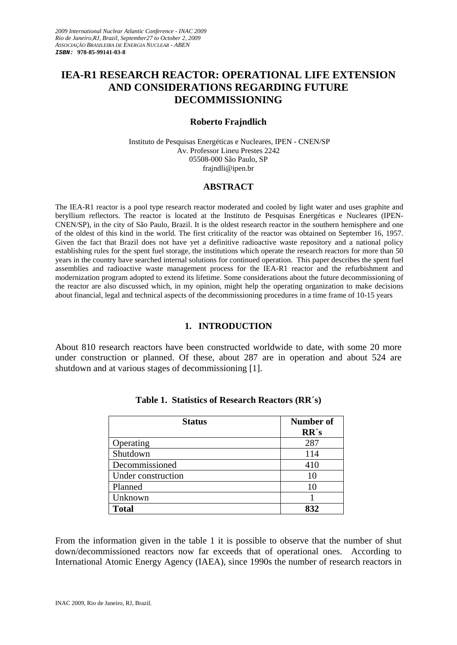# **IEA-R1 RESEARCH REACTOR: OPERATIONAL LIFE EXTENSION AND CONSIDERATIONS REGARDING FUTURE DECOMMISSIONING**

#### **Roberto Frajndlich**

 Instituto de Pesquisas Energéticas e Nucleares, IPEN - CNEN/SP Av. Professor Lineu Prestes 2242 05508-000 São Paulo, SP fraindli@ipen.br

#### **ABSTRACT**

The IEA-R1 reactor is a pool type research reactor moderated and cooled by light water and uses graphite and beryllium reflectors. The reactor is located at the Instituto de Pesquisas Energéticas e Nucleares (IPEN-CNEN/SP), in the city of São Paulo, Brazil. It is the oldest research reactor in the southern hemisphere and one of the oldest of this kind in the world. The first criticality of the reactor was obtained on September 16, 1957. Given the fact that Brazil does not have yet a definitive radioactive waste repository and a national policy establishing rules for the spent fuel storage, the institutions which operate the research reactors for more than 50 years in the country have searched internal solutions for continued operation. This paper describes the spent fuel assemblies and radioactive waste management process for the IEA-R1 reactor and the refurbishment and modernization program adopted to extend its lifetime. Some considerations about the future decommissioning of the reactor are also discussed which, in my opinion, might help the operating organization to make decisions about financial, legal and technical aspects of the decommissioning procedures in a time frame of 10-15 years

### **1. INTRODUCTION**

About 810 research reactors have been constructed worldwide to date, with some 20 more under construction or planned. Of these, about 287 are in operation and about 524 are shutdown and at various stages of decommissioning [1].

| <b>Status</b>      | <b>Number of</b><br>RR's |
|--------------------|--------------------------|
| Operating          | 287                      |
| Shutdown           | 114                      |
| Decommissioned     | 410                      |
| Under construction | 10                       |
| Planned            | 10                       |
| Unknown            |                          |
| <b>Total</b>       | 832                      |

**Table 1. Statistics of Research Reactors (RR´s)** 

From the information given in the table 1 it is possible to observe that the number of shut down/decommissioned reactors now far exceeds that of operational ones. According to International Atomic Energy Agency (IAEA), since 1990s the number of research reactors in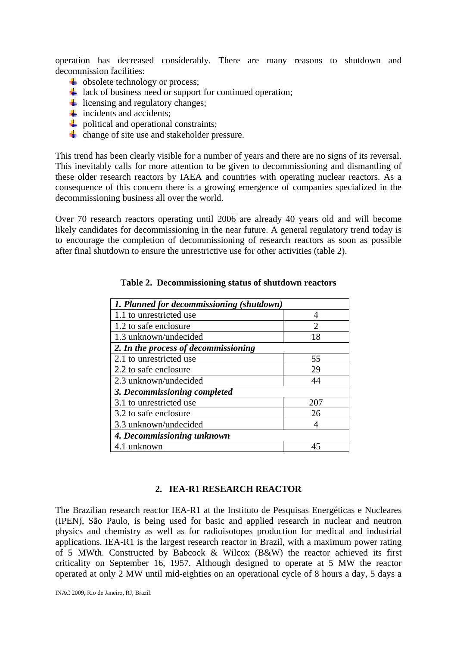operation has decreased considerably. There are many reasons to shutdown and decommission facilities:

- $\downarrow$  obsolete technology or process;
- $\frac{1}{2}$  lack of business need or support for continued operation;
- $\ddot{\bullet}$  licensing and regulatory changes;
- $\frac{1}{\sqrt{1}}$  incidents and accidents;
- $\downarrow$  political and operational constraints;
- $\downarrow$  change of site use and stakeholder pressure.

This trend has been clearly visible for a number of years and there are no signs of its reversal. This inevitably calls for more attention to be given to decommissioning and dismantling of these older research reactors by IAEA and countries with operating nuclear reactors. As a consequence of this concern there is a growing emergence of companies specialized in the decommissioning business all over the world.

Over 70 research reactors operating until 2006 are already 40 years old and will become likely candidates for decommissioning in the near future. A general regulatory trend today is to encourage the completion of decommissioning of research reactors as soon as possible after final shutdown to ensure the unrestrictive use for other activities (table 2).

| 1. Planned for decommissioning (shutdown) |                |  |  |  |
|-------------------------------------------|----------------|--|--|--|
| 1.1 to unrestricted use                   | 4              |  |  |  |
| 1.2 to safe enclosure                     | $\overline{2}$ |  |  |  |
| 1.3 unknown/undecided                     | 18             |  |  |  |
| 2. In the process of decommissioning      |                |  |  |  |
| 2.1 to unrestricted use                   | 55             |  |  |  |
| 2.2 to safe enclosure                     | 29             |  |  |  |
| 2.3 unknown/undecided                     | 44             |  |  |  |
| 3. Decommissioning completed              |                |  |  |  |
| 3.1 to unrestricted use                   | 207            |  |  |  |
| 3.2 to safe enclosure                     | 26             |  |  |  |
| 3.3 unknown/undecided                     |                |  |  |  |
| 4. Decommissioning unknown                |                |  |  |  |
| 4.1 unknown                               | 45             |  |  |  |

**Table 2. Decommissioning status of shutdown reactors** 

### **2. IEA-R1 RESEARCH REACTOR**

The Brazilian research reactor IEA-R1 at the Instituto de Pesquisas Energéticas e Nucleares (IPEN), São Paulo, is being used for basic and applied research in nuclear and neutron physics and chemistry as well as for radioisotopes production for medical and industrial applications. IEA-R1 is the largest research reactor in Brazil, with a maximum power rating of 5 MWth. Constructed by Babcock & Wilcox (B&W) the reactor achieved its first criticality on September 16, 1957. Although designed to operate at 5 MW the reactor operated at only 2 MW until mid-eighties on an operational cycle of 8 hours a day, 5 days a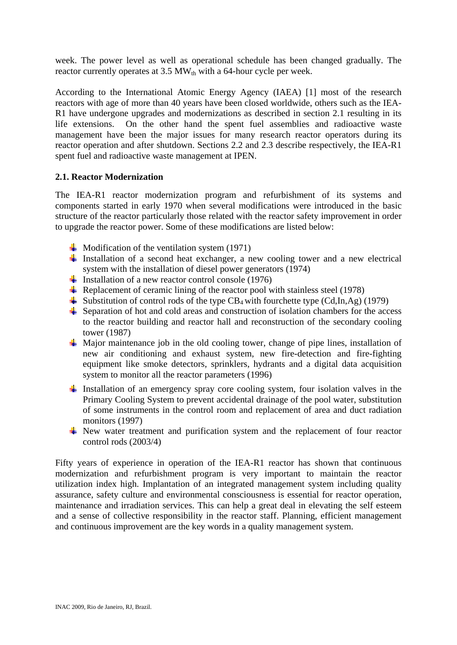week. The power level as well as operational schedule has been changed gradually. The reactor currently operates at  $3.5$  MW<sub>th</sub> with a 64-hour cycle per week.

According to the International Atomic Energy Agency (IAEA) [1] most of the research reactors with age of more than 40 years have been closed worldwide, others such as the IEA-R1 have undergone upgrades and modernizations as described in section 2.1 resulting in its life extensions. On the other hand the spent fuel assemblies and radioactive waste management have been the major issues for many research reactor operators during its reactor operation and after shutdown. Sections 2.2 and 2.3 describe respectively, the IEA-R1 spent fuel and radioactive waste management at IPEN.

# **2.1. Reactor Modernization**

The IEA-R1 reactor modernization program and refurbishment of its systems and components started in early 1970 when several modifications were introduced in the basic structure of the reactor particularly those related with the reactor safety improvement in order to upgrade the reactor power. Some of these modifications are listed below:

- $\downarrow$  Modification of the ventilation system (1971)
- Installation of a second heat exchanger, a new cooling tower and a new electrical system with the installation of diesel power generators (1974)
- Installation of a new reactor control console  $(1976)$
- Replacement of ceramic lining of the reactor pool with stainless steel (1978)
- Substitution of control rods of the type  $CB_4$  with fourchette type  $(Cd, In, Ag)$  (1979)
- $\triangleq$  Separation of hot and cold areas and construction of isolation chambers for the access to the reactor building and reactor hall and reconstruction of the secondary cooling tower (1987)
- $\overline{\text{M}}$  Major maintenance job in the old cooling tower, change of pipe lines, installation of new air conditioning and exhaust system, new fire-detection and fire-fighting equipment like smoke detectors, sprinklers, hydrants and a digital data acquisition system to monitor all the reactor parameters (1996)
- Installation of an emergency spray core cooling system, four isolation valves in the Primary Cooling System to prevent accidental drainage of the pool water, substitution of some instruments in the control room and replacement of area and duct radiation monitors (1997)
- $\overline{\text{+}}$  New water treatment and purification system and the replacement of four reactor control rods (2003/4)

Fifty years of experience in operation of the IEA-R1 reactor has shown that continuous modernization and refurbishment program is very important to maintain the reactor utilization index high. Implantation of an integrated management system including quality assurance, safety culture and environmental consciousness is essential for reactor operation, maintenance and irradiation services. This can help a great deal in elevating the self esteem and a sense of collective responsibility in the reactor staff. Planning, efficient management and continuous improvement are the key words in a quality management system.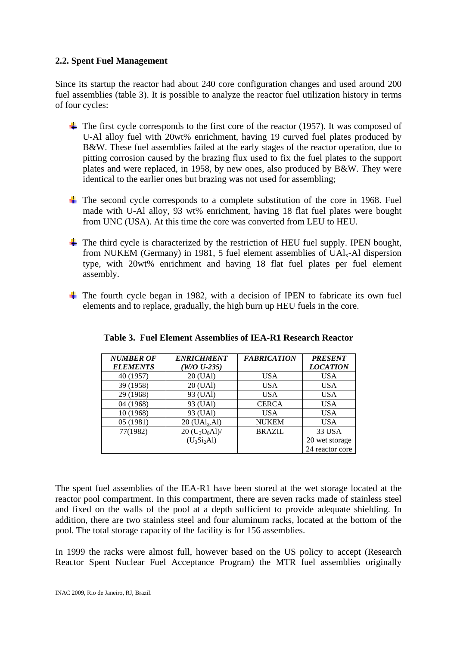## **2.2. Spent Fuel Management**

Since its startup the reactor had about 240 core configuration changes and used around 200 fuel assemblies (table 3). It is possible to analyze the reactor fuel utilization history in terms of four cycles:

- $\overline{\text{+}}$  The first cycle corresponds to the first core of the reactor (1957). It was composed of U-Al alloy fuel with 20wt% enrichment, having 19 curved fuel plates produced by B&W. These fuel assemblies failed at the early stages of the reactor operation, due to pitting corrosion caused by the brazing flux used to fix the fuel plates to the support plates and were replaced, in 1958, by new ones, also produced by B&W. They were identical to the earlier ones but brazing was not used for assembling;
- $\pm$  The second cycle corresponds to a complete substitution of the core in 1968. Fuel made with U-Al alloy, 93 wt% enrichment, having 18 flat fuel plates were bought from UNC (USA). At this time the core was converted from LEU to HEU.
- $\pm$  The third cycle is characterized by the restriction of HEU fuel supply. IPEN bought, from NUKEM (Germany) in 1981, 5 fuel element assemblies of  $UA<sub>k</sub>$ -Al dispersion type, with 20wt% enrichment and having 18 flat fuel plates per fuel element assembly.
- $\overline{\text{+}}$  The fourth cycle began in 1982, with a decision of IPEN to fabricate its own fuel elements and to replace, gradually, the high burn up HEU fuels in the core.

| <b>NUMBER OF</b> | <b>ENRICHMENT</b>                          | <b>FABRICATION</b> | <b>PRESENT</b>  |
|------------------|--------------------------------------------|--------------------|-----------------|
| <b>ELEMENTS</b>  | $(W/O U-235)$                              |                    | <b>LOCATION</b> |
| 40 (1957)        | 20 (UAl)                                   | USA.               | <b>USA</b>      |
| 39 (1958)        | 20 (UAl)                                   | <b>USA</b>         | <b>USA</b>      |
| 29 (1968)        | 93 (UAl)                                   | <b>USA</b>         | <b>USA</b>      |
| 04 (1968)        | 93 (UAl)                                   | <b>CERCA</b>       | <b>USA</b>      |
| 10 (1968)        | 93 (UAl)                                   | <b>USA</b>         | <b>USA</b>      |
| 05 (1981)        | $20 \left( \text{UAL}_x \text{Al} \right)$ | <b>NUKEM</b>       | <b>USA</b>      |
| 77(1982)         | $20 (U_3O_8Al)$                            | <b>BRAZIL</b>      | 33 USA          |
|                  | $(U_3Si_2Al)$                              |                    | 20 wet storage  |
|                  |                                            |                    | 24 reactor core |

|  |  |  |  | Table 3. Fuel Element Assemblies of IEA-R1 Research Reactor |
|--|--|--|--|-------------------------------------------------------------|
|--|--|--|--|-------------------------------------------------------------|

The spent fuel assemblies of the IEA-R1 have been stored at the wet storage located at the reactor pool compartment. In this compartment, there are seven racks made of stainless steel and fixed on the walls of the pool at a depth sufficient to provide adequate shielding. In addition, there are two stainless steel and four aluminum racks, located at the bottom of the pool. The total storage capacity of the facility is for 156 assemblies.

In 1999 the racks were almost full, however based on the US policy to accept (Research Reactor Spent Nuclear Fuel Acceptance Program) the MTR fuel assemblies originally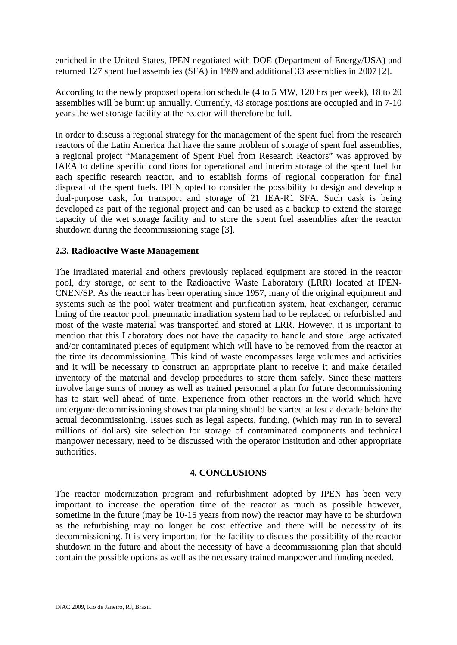enriched in the United States, IPEN negotiated with DOE (Department of Energy/USA) and returned 127 spent fuel assemblies (SFA) in 1999 and additional 33 assemblies in 2007 [2].

According to the newly proposed operation schedule (4 to 5 MW, 120 hrs per week), 18 to 20 assemblies will be burnt up annually. Currently, 43 storage positions are occupied and in 7-10 years the wet storage facility at the reactor will therefore be full.

In order to discuss a regional strategy for the management of the spent fuel from the research reactors of the Latin America that have the same problem of storage of spent fuel assemblies, a regional project "Management of Spent Fuel from Research Reactors" was approved by IAEA to define specific conditions for operational and interim storage of the spent fuel for each specific research reactor, and to establish forms of regional cooperation for final disposal of the spent fuels. IPEN opted to consider the possibility to design and develop a dual-purpose cask, for transport and storage of 21 IEA-R1 SFA. Such cask is being developed as part of the regional project and can be used as a backup to extend the storage capacity of the wet storage facility and to store the spent fuel assemblies after the reactor shutdown during the decommissioning stage [3].

### **2.3. Radioactive Waste Management**

The irradiated material and others previously replaced equipment are stored in the reactor pool, dry storage, or sent to the Radioactive Waste Laboratory (LRR) located at IPEN-CNEN/SP. As the reactor has been operating since 1957, many of the original equipment and systems such as the pool water treatment and purification system, heat exchanger, ceramic lining of the reactor pool, pneumatic irradiation system had to be replaced or refurbished and most of the waste material was transported and stored at LRR. However, it is important to mention that this Laboratory does not have the capacity to handle and store large activated and/or contaminated pieces of equipment which will have to be removed from the reactor at the time its decommissioning. This kind of waste encompasses large volumes and activities and it will be necessary to construct an appropriate plant to receive it and make detailed inventory of the material and develop procedures to store them safely. Since these matters involve large sums of money as well as trained personnel a plan for future decommissioning has to start well ahead of time. Experience from other reactors in the world which have undergone decommissioning shows that planning should be started at lest a decade before the actual decommissioning. Issues such as legal aspects, funding, (which may run in to several millions of dollars) site selection for storage of contaminated components and technical manpower necessary, need to be discussed with the operator institution and other appropriate authorities.

### **4. CONCLUSIONS**

The reactor modernization program and refurbishment adopted by IPEN has been very important to increase the operation time of the reactor as much as possible however, sometime in the future (may be 10-15 years from now) the reactor may have to be shutdown as the refurbishing may no longer be cost effective and there will be necessity of its decommissioning. It is very important for the facility to discuss the possibility of the reactor shutdown in the future and about the necessity of have a decommissioning plan that should contain the possible options as well as the necessary trained manpower and funding needed.